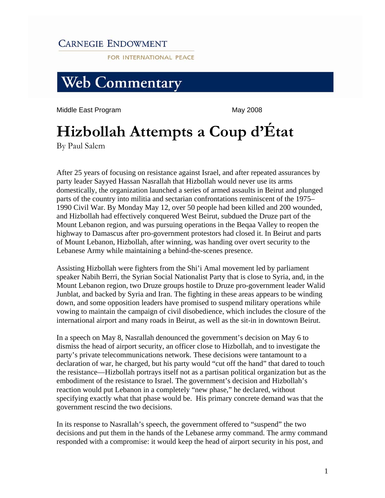## **CARNEGIE ENDOWMENT**

FOR INTERNATIONAL PEACE



Middle East Program **May 2008** 

## **Hizbollah Attempts a Coup d'État**

By Paul Salem

After 25 years of focusing on resistance against Israel, and after repeated assurances by party leader Sayyed Hassan Nasrallah that Hizbollah would never use its arms domestically, the organization launched a series of armed assaults in Beirut and plunged parts of the country into militia and sectarian confrontations reminiscent of the 1975– 1990 Civil War. By Monday May 12, over 50 people had been killed and 200 wounded, and Hizbollah had effectively conquered West Beirut, subdued the Druze part of the Mount Lebanon region, and was pursuing operations in the Beqaa Valley to reopen the highway to Damascus after pro-government protestors had closed it. In Beirut and parts of Mount Lebanon, Hizbollah, after winning, was handing over overt security to the Lebanese Army while maintaining a behind-the-scenes presence.

Assisting Hizbollah were fighters from the Shi'i Amal movement led by parliament speaker Nabih Berri, the Syrian Social Nationalist Party that is close to Syria, and, in the Mount Lebanon region, two Druze groups hostile to Druze pro-government leader Walid Junblat, and backed by Syria and Iran. The fighting in these areas appears to be winding down, and some opposition leaders have promised to suspend military operations while vowing to maintain the campaign of civil disobedience, which includes the closure of the international airport and many roads in Beirut, as well as the sit-in in downtown Beirut.

In a speech on May 8, Nasrallah denounced the government's decision on May 6 to dismiss the head of airport security, an officer close to Hizbollah, and to investigate the party's private telecommunications network. These decisions were tantamount to a declaration of war, he charged, but his party would "cut off the hand" that dared to touch the resistance—Hizbollah portrays itself not as a partisan political organization but as the embodiment of the resistance to Israel. The government's decision and Hizbollah's reaction would put Lebanon in a completely "new phase," he declared, without specifying exactly what that phase would be. His primary concrete demand was that the government rescind the two decisions.

In its response to Nasrallah's speech, the government offered to "suspend" the two decisions and put them in the hands of the Lebanese army command. The army command responded with a compromise: it would keep the head of airport security in his post, and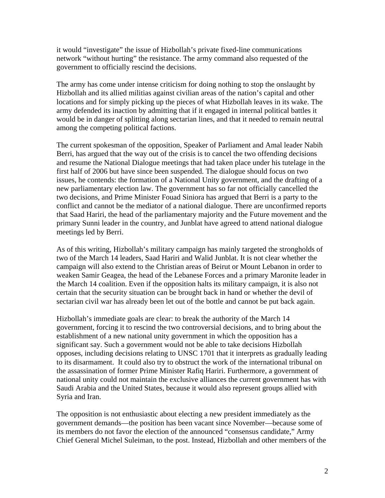it would "investigate" the issue of Hizbollah's private fixed-line communications network "without hurting" the resistance. The army command also requested of the government to officially rescind the decisions.

The army has come under intense criticism for doing nothing to stop the onslaught by Hizbollah and its allied militias against civilian areas of the nation's capital and other locations and for simply picking up the pieces of what Hizbollah leaves in its wake. The army defended its inaction by admitting that if it engaged in internal political battles it would be in danger of splitting along sectarian lines, and that it needed to remain neutral among the competing political factions.

The current spokesman of the opposition, Speaker of Parliament and Amal leader Nabih Berri, has argued that the way out of the crisis is to cancel the two offending decisions and resume the National Dialogue meetings that had taken place under his tutelage in the first half of 2006 but have since been suspended. The dialogue should focus on two issues, he contends: the formation of a National Unity government, and the drafting of a new parliamentary election law. The government has so far not officially cancelled the two decisions, and Prime Minister Fouad Siniora has argued that Berri is a party to the conflict and cannot be the mediator of a national dialogue. There are unconfirmed reports that Saad Hariri, the head of the parliamentary majority and the Future movement and the primary Sunni leader in the country, and Junblat have agreed to attend national dialogue meetings led by Berri.

As of this writing, Hizbollah's military campaign has mainly targeted the strongholds of two of the March 14 leaders, Saad Hariri and Walid Junblat. It is not clear whether the campaign will also extend to the Christian areas of Beirut or Mount Lebanon in order to weaken Samir Geagea, the head of the Lebanese Forces and a primary Maronite leader in the March 14 coalition. Even if the opposition halts its military campaign, it is also not certain that the security situation can be brought back in hand or whether the devil of sectarian civil war has already been let out of the bottle and cannot be put back again.

Hizbollah's immediate goals are clear: to break the authority of the March 14 government, forcing it to rescind the two controversial decisions, and to bring about the establishment of a new national unity government in which the opposition has a significant say. Such a government would not be able to take decisions Hizbollah opposes, including decisions relating to UNSC 1701 that it interprets as gradually leading to its disarmament. It could also try to obstruct the work of the international tribunal on the assassination of former Prime Minister Rafiq Hariri. Furthermore, a government of national unity could not maintain the exclusive alliances the current government has with Saudi Arabia and the United States, because it would also represent groups allied with Syria and Iran.

The opposition is not enthusiastic about electing a new president immediately as the government demands—the position has been vacant since November—because some of its members do not favor the election of the announced "consensus candidate," Army Chief General Michel Suleiman, to the post. Instead, Hizbollah and other members of the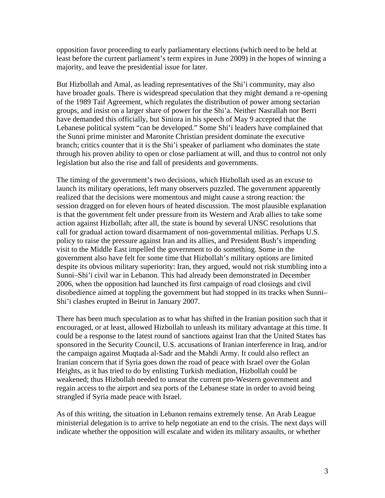opposition favor proceeding to early parliamentary elections (which need to be held at least before the current parliament's term expires in June 2009) in the hopes of winning a majority, and leave the presidential issue for later.

But Hizbollah and Amal, as leading representatives of the Shi'i community, may also have broader goals. There is widespread speculation that they might demand a re-opening of the 1989 Taif Agreement, which regulates the distribution of power among sectarian groups, and insist on a larger share of power for the Shi'a. Neither Nasrallah nor Berri have demanded this officially, but Siniora in his speech of May 9 accepted that the Lebanese political system "can be developed." Some Shi'i leaders have complained that the Sunni prime minister and Maronite Christian president dominate the executive branch; critics counter that it is the Shi'i speaker of parliament who dominates the state through his proven ability to open or close parliament at will, and thus to control not only legislation but also the rise and fall of presidents and governments.

The timing of the government's two decisions, which Hizbollah used as an excuse to launch its military operations, left many observers puzzled. The government apparently realized that the decisions were momentous and might cause a strong reaction: the session dragged on for eleven hours of heated discussion. The most plausible explanation is that the government felt under pressure from its Western and Arab allies to take some action against Hizbollah; after all, the state is bound by several UNSC resolutions that call for gradual action toward disarmament of non-governmental militias. Perhaps U.S. policy to raise the pressure against Iran and its allies, and President Bush's impending visit to the Middle East impelled the government to do something. Some in the government also have felt for some time that Hizbollah's military options are limited despite its obvious military superiority: Iran, they argued, would not risk stumbling into a Sunni–Shi'i civil war in Lebanon. This had already been demonstrated in December 2006, when the opposition had launched its first campaign of road closings and civil disobedience aimed at toppling the government but had stopped in its tracks when Sunni– Shi'i clashes erupted in Beirut in January 2007.

There has been much speculation as to what has shifted in the Iranian position such that it encouraged, or at least, allowed Hizbollah to unleash its military advantage at this time. It could be a response to the latest round of sanctions against Iran that the United States has sponsored in the Security Council, U.S. accusations of Iranian interference in Iraq, and/or the campaign against Muqtada al-Sadr and the Mahdi Army. It could also reflect an Iranian concern that if Syria goes down the road of peace with Israel over the Golan Heights, as it has tried to do by enlisting Turkish mediation, Hizbollah could be weakened; thus Hizbollah needed to unseat the current pro-Western government and regain access to the airport and sea ports of the Lebanese state in order to avoid being strangled if Syria made peace with Israel.

As of this writing, the situation in Lebanon remains extremely tense. An Arab League ministerial delegation is to arrive to help negotiate an end to the crisis. The next days will indicate whether the opposition will escalate and widen its military assaults, or whether